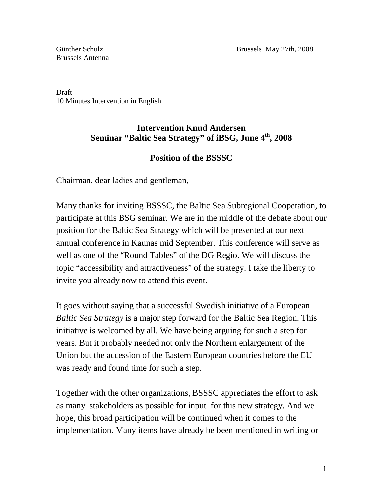Brussels Antenna

Draft 10 Minutes Intervention in English

## **Intervention Knud Andersen Seminar "Baltic Sea Strategy" of iBSG, June 4th, 2008**

## **Position of the BSSSC**

Chairman, dear ladies and gentleman,

Many thanks for inviting BSSSC, the Baltic Sea Subregional Cooperation, to participate at this BSG seminar. We are in the middle of the debate about our position for the Baltic Sea Strategy which will be presented at our next annual conference in Kaunas mid September. This conference will serve as well as one of the "Round Tables" of the DG Regio. We will discuss the topic "accessibility and attractiveness" of the strategy. I take the liberty to invite you already now to attend this event.

It goes without saying that a successful Swedish initiative of a European *Baltic Sea Strategy* is a major step forward for the Baltic Sea Region. This initiative is welcomed by all. We have being arguing for such a step for years. But it probably needed not only the Northern enlargement of the Union but the accession of the Eastern European countries before the EU was ready and found time for such a step.

Together with the other organizations, BSSSC appreciates the effort to ask as many stakeholders as possible for input for this new strategy. And we hope, this broad participation will be continued when it comes to the implementation. Many items have already be been mentioned in writing or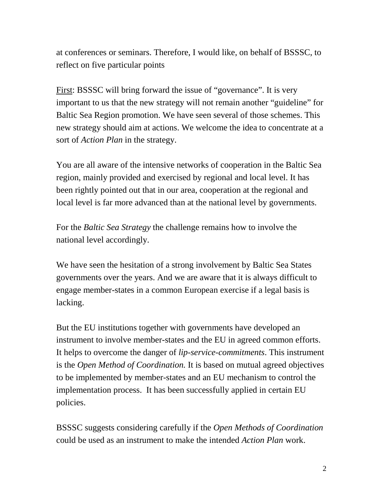at conferences or seminars. Therefore, I would like, on behalf of BSSSC, to reflect on five particular points

First: BSSSC will bring forward the issue of "governance". It is very important to us that the new strategy will not remain another "guideline" for Baltic Sea Region promotion. We have seen several of those schemes. This new strategy should aim at actions. We welcome the idea to concentrate at a sort of *Action Plan* in the strategy.

You are all aware of the intensive networks of cooperation in the Baltic Sea region, mainly provided and exercised by regional and local level. It has been rightly pointed out that in our area, cooperation at the regional and local level is far more advanced than at the national level by governments.

For the *Baltic Sea Strategy* the challenge remains how to involve the national level accordingly.

We have seen the hesitation of a strong involvement by Baltic Sea States governments over the years. And we are aware that it is always difficult to engage member-states in a common European exercise if a legal basis is lacking.

But the EU institutions together with governments have developed an instrument to involve member-states and the EU in agreed common efforts. It helps to overcome the danger of *lip-service-commitments*. This instrument is the *Open Method of Coordination.* It is based on mutual agreed objectives to be implemented by member-states and an EU mechanism to control the implementation process. It has been successfully applied in certain EU policies.

BSSSC suggests considering carefully if the *Open Methods of Coordination*  could be used as an instrument to make the intended *Action Plan* work.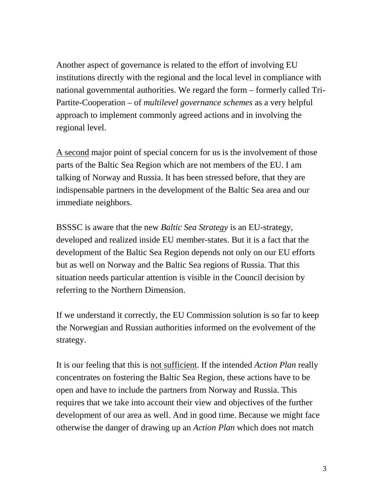Another aspect of governance is related to the effort of involving EU institutions directly with the regional and the local level in compliance with national governmental authorities. We regard the form – formerly called Tri-Partite-Cooperation – of *multilevel governance schemes* as a very helpful approach to implement commonly agreed actions and in involving the regional level.

A second major point of special concern for us is the involvement of those parts of the Baltic Sea Region which are not members of the EU. I am talking of Norway and Russia. It has been stressed before, that they are indispensable partners in the development of the Baltic Sea area and our immediate neighbors.

BSSSC is aware that the new *Baltic Sea Strategy* is an EU-strategy, developed and realized inside EU member-states. But it is a fact that the development of the Baltic Sea Region depends not only on our EU efforts but as well on Norway and the Baltic Sea regions of Russia. That this situation needs particular attention is visible in the Council decision by referring to the Northern Dimension.

If we understand it correctly, the EU Commission solution is so far to keep the Norwegian and Russian authorities informed on the evolvement of the strategy.

It is our feeling that this is not sufficient. If the intended *Action Plan* really concentrates on fostering the Baltic Sea Region, these actions have to be open and have to include the partners from Norway and Russia. This requires that we take into account their view and objectives of the further development of our area as well. And in good time. Because we might face otherwise the danger of drawing up an *Action Plan* which does not match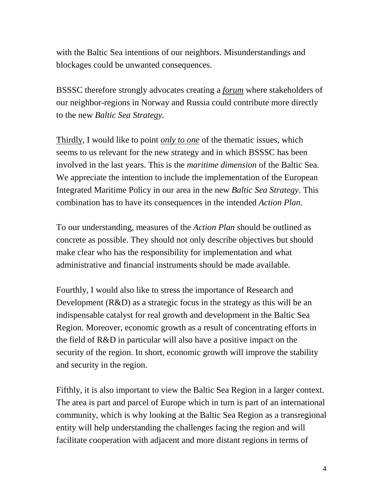with the Baltic Sea intentions of our neighbors. Misunderstandings and blockages could be unwanted consequences.

BSSSC therefore strongly advocates creating a *forum* where stakeholders of our neighbor-regions in Norway and Russia could contribute more directly to the new *Baltic Sea Strategy.* 

Thirdly, I would like to point *only to one* of the thematic issues, which seems to us relevant for the new strategy and in which BSSSC has been involved in the last years. This is the *maritime dimension* of the Baltic Sea. We appreciate the intention to include the implementation of the European Integrated Maritime Policy in our area in the new *Baltic Sea Strategy*. This combination has to have its consequences in the intended *Action Plan*.

To our understanding, measures of the *Action Plan* should be outlined as concrete as possible. They should not only describe objectives but should make clear who has the responsibility for implementation and what administrative and financial instruments should be made available.

Fourthly, I would also like to stress the importance of Research and Development (R&D) as a strategic focus in the strategy as this will be an indispensable catalyst for real growth and development in the Baltic Sea Region. Moreover, economic growth as a result of concentrating efforts in the field of R&D in particular will also have a positive impact on the security of the region. In short, economic growth will improve the stability and security in the region.

Fifthly, it is also important to view the Baltic Sea Region in a larger context. The area is part and parcel of Europe which in turn is part of an international community, which is why looking at the Baltic Sea Region as a transregional entity will help understanding the challenges facing the region and will facilitate cooperation with adjacent and more distant regions in terms of